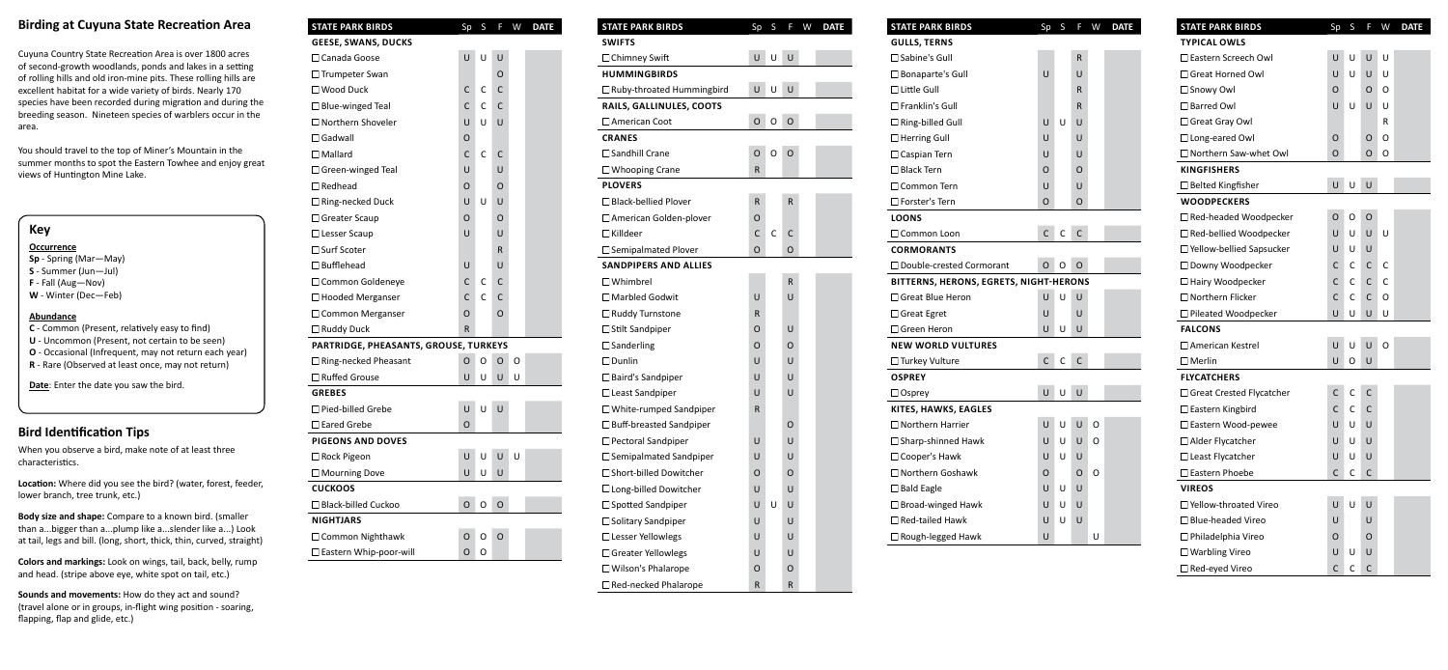## **Birding at Cuyuna State Recreation Area**

Cuyuna Country State Recreation Area is over 1800 acres of second-growth woodlands, ponds and lakes in a setting of rolling hills and old iron-mine pits. These rolling hills are excellent habitat for a wide variety of birds. Nearly 170 species have been recorded during migration and during the breeding season. Nineteen species of warblers occur in the area.

You should travel to the top of Miner's Mountain in the summer months to spot the Eastern Towhee and enjoy great views of Huntington Mine Lake.

## **Key**

**Occurrence**

- **Sp** Spring (Mar—May)
- **S** Summer (Jun—Jul)
- **F** Fall (Aug—Nov)
- **W** Winter (Dec—Feb)

#### **Abundance**

- **C** Common (Present, relatively easy to find)
- **U** Uncommon (Present, not certain to be seen)
- **O** Occasional (Infrequent, may not return each year)
- **R** Rare (Observed at least once, may not return)

**Date**: Enter the date you saw the bird.

### **Bird Identification Tips**

When you observe a bird, make note of at least three characteristics.

**Location:** Where did you see the bird? (water, forest, feeder, lower branch, tree trunk, etc.)

**Body size and shape:** Compare to a known bird. (smaller than a...bigger than a...plump like a...slender like a...) Look at tail, legs and bill. (long, short, thick, thin, curved, straight)

**Colors and markings:** Look on wings, tail, back, belly, rump and head. (stripe above eye, white spot on tail, etc.)

**Sounds and movements:** How do they act and sound? (travel alone or in groups, in-flight wing position - soaring, flapping, flap and glide, etc.)

| <b>STATE PARK BIRDS</b>               | Sp | S | F            | W | <b>DATE</b> |
|---------------------------------------|----|---|--------------|---|-------------|
| <b>GEESE, SWANS, DUCKS</b>            |    |   |              |   |             |
| $\Box$ Canada Goose                   | U  | U | U            |   |             |
| $\Box$ Trumpeter Swan                 |    |   | O            |   |             |
| $\square$ Wood Duck                   | С  | C | C            |   |             |
| $\Box$ Blue-winged Teal               | C  | C | C            |   |             |
| □ Northern Shoveler                   | U  | U | U            |   |             |
| $\Box$ Gadwall                        | O  |   |              |   |             |
| $\Box$ Mallard                        | C  | C | С            |   |             |
| $\Box$ Green-winged Teal              | U  |   | U            |   |             |
| $\Box$ Redhead                        | O  |   | O            |   |             |
| $\Box$ Ring-necked Duck               | U  | U | U            |   |             |
| $\Box$ Greater Scaup                  | O  |   | O            |   |             |
| $\Box$ Lesser Scaup                   | U  |   | U            |   |             |
| □ Surf Scoter                         |    |   | R            |   |             |
| $\Box$ Bufflehead                     | U  |   | U            |   |             |
| $\Box$ Common Goldeneye               | С  | C | C            |   |             |
| $\Box$ Hooded Merganser               | C  | C | С            |   |             |
| $\Box$ Common Merganser               | O  |   | O            |   |             |
| $\Box$ Ruddy Duck                     | R  |   |              |   |             |
| PARTRIDGE, PHEASANTS, GROUSE, TURKEYS |    |   |              |   |             |
| □ Ring-necked Pheasant                | O  | O | O            | O |             |
| $\Box$ Ruffed Grouse                  | U  | U | U            | U |             |
| <b>GREBES</b>                         |    |   |              |   |             |
| $\Box$ Pied-billed Grebe              | U  | U | U            |   |             |
| $\Box$ Eared Grebe                    | O  |   |              |   |             |
| <b>PIGEONS AND DOVES</b>              |    |   |              |   |             |
| $\Box$ Rock Pigeon                    | U  | U | U            | U |             |
| $\Box$ Mourning Dove                  | U  | U | $\mathbf{U}$ |   |             |
| <b>CUCKOOS</b>                        |    |   |              |   |             |
| □ Black-billed Cuckoo                 | O  | O | O            |   |             |
| <b>NIGHTJARS</b>                      |    |   |              |   |             |
| $\Box$ Common Nighthawk               | O  | O | O            |   |             |
| □ Eastern Whip-poor-will              | O  | O |              |   |             |

| <b>STATE PARK BIRDS</b>          | Sp | S | F | W | <b>DATE</b> |
|----------------------------------|----|---|---|---|-------------|
| <b>SWIFTS</b>                    |    |   |   |   |             |
| $\Box$ Chimney Swift             | U  | U | U |   |             |
| <b>HUMMINGBIRDS</b>              |    |   |   |   |             |
| $\Box$ Ruby-throated Hummingbird | U  | U | U |   |             |
| RAILS, GALLINULES, COOTS         |    |   |   |   |             |
| $\Box$ American Coot             | O  | O | O |   |             |
| <b>CRANES</b>                    |    |   |   |   |             |
| $\Box$ Sandhill Crane            | O  | O | O |   |             |
| $\Box$ Whooping Crane            | R  |   |   |   |             |
| <b>PLOVERS</b>                   |    |   |   |   |             |
| $\Box$ Black-bellied Plover      | R  |   | R |   |             |
| $\Box$ American Golden-plover    | O  |   |   |   |             |
| $\Box$ Killdeer                  | C  | C | C |   |             |
| $\Box$ Semipalmated Plover       | O  |   | O |   |             |
| <b>SANDPIPERS AND ALLIES</b>     |    |   |   |   |             |
| $\Box$ Whimbrel                  |    |   | R |   |             |
| $\Box$ Marbled Godwit            | U  |   | U |   |             |
| $\Box$ Ruddy Turnstone           | R  |   |   |   |             |
| $\Box$ Stilt Sandpiper           | O  |   | U |   |             |
| $\Box$ Sanderling                | O  |   | O |   |             |
| $\square$ Dunlin                 | U  |   | U |   |             |
| $\Box$ Baird's Sandpiper         | U  |   | U |   |             |
| $\Box$ Least Sandpiper           | U  |   | U |   |             |
| $\Box$ White-rumped Sandpiper    | R  |   |   |   |             |
| $\Box$ Buff-breasted Sandpiper   |    |   | O |   |             |
| $\Box$ Pectoral Sandpiper        | U  |   | U |   |             |
| $\Box$ Semipalmated Sandpiper    | U  |   | U |   |             |
| □ Short-billed Dowitcher         | O  |   | O |   |             |
| $\Box$ Long-billed Dowitcher     | U  |   | U |   |             |
| $\Box$ Spotted Sandpiper         | U  | U | U |   |             |
| □ Solitary Sandpiper             | U  |   | U |   |             |
| $\Box$ Lesser Yellowlegs         | U  |   | U |   |             |
| $\Box$ Greater Yellowlegs        | U  |   | U |   |             |
| $\Box$ Wilson's Phalarope        | O  |   | O |   |             |
| Red-necked Phalarope             | R  |   | R |   |             |

 $\square$  Bc  $\Box$ Lit  $\Box$  Fr  $\Box$ Ri  $\Box$ He  $\Box$ Ca  $\Box$  Bla  $\Box$  Co  $\Box$  Fo **LOONS**  $\Box$ Co **COR**  $\Box$  Gr  $\Box$  Gr  $\Box$  Gr **NEV**  $\Box$ Tu **OSP**  $\Box$ os **KITE**  $\Box$  No  $\square$ Sh  $\Box$  Co  $\Box$  Ba  $\square$  Br  $\Box$  Re  $\Box$ Ro

| <b>STATE PARK BIRDS</b>                | Sp           | S | F | W | <b>DATE</b> |
|----------------------------------------|--------------|---|---|---|-------------|
| <b>GULLS, TERNS</b>                    |              |   |   |   |             |
| $\square$ Sabine's Gull                |              |   | R |   |             |
| $\square$ Bonaparte's Gull             | U            |   | U |   |             |
| $\Box$ Little Gull                     |              |   | R |   |             |
| $\square$ Franklin's Gull              |              |   | R |   |             |
| $\Box$ Ring-billed Gull                | U            | U | U |   |             |
| $\Box$ Herring Gull                    | U            |   | U |   |             |
| $\Box$ Caspian Tern                    | U            |   | U |   |             |
| $\square$ Black Tern                   | O            |   | O |   |             |
| $\square$ Common Tern                  | U            |   | U |   |             |
| $\square$ Forster's Tern               | 0            |   | O |   |             |
| <b>LOONS</b>                           |              |   |   |   |             |
| $\Box$ Common Loon                     | $\mathsf{C}$ | C | C |   |             |
| <b>CORMORANTS</b>                      |              |   |   |   |             |
| $\Box$ Double-crested Cormorant        | O            | 0 | O |   |             |
| BITTERNS, HERONS, EGRETS, NIGHT-HERONS |              |   |   |   |             |
| $\Box$ Great Blue Heron                | U            | U | U |   |             |
| $\Box$ Great Egret                     | U            |   | U |   |             |
| $\Box$ Green Heron                     | U            | U | U |   |             |
| <b>NEW WORLD VULTURES</b>              |              |   |   |   |             |
| □ Turkey Vulture                       | C            | C | C |   |             |
| <b>OSPREY</b>                          |              |   |   |   |             |
| $\Box$ Osprey                          | Ù            | U | U |   |             |
| KITES, HAWKS, EAGLES                   |              |   |   |   |             |
| $\Box$ Northern Harrier                | U            | U | U | O |             |
| $\Box$ Sharp-shinned Hawk              | U            | U | U | O |             |
| □ Cooper's Hawk                        | U            | U | U |   |             |
| $\Box$ Northern Goshawk                | O            |   | O | O |             |
| $\Box$ Bald Eagle                      | U            | U | U |   |             |
| $\Box$ Broad-winged Hawk               | U            | U | U |   |             |
| $\Box$ Red-tailed Hawk                 | U            | U | U |   |             |
| □ Rough-legged Hawk                    | U            |   |   | U |             |

| <b>STATE PARK BIRDS</b>         | Sp          | S | F            | W | <b>DATE</b> |
|---------------------------------|-------------|---|--------------|---|-------------|
| <b>TYPICAL OWLS</b>             |             |   |              |   |             |
| $\Box$ Eastern Screech Owl      | U           | U | U            | U |             |
| $\Box$ Great Horned Owl         | U           | U | U            | U |             |
| $\square$ Snowy Owl             | O           |   | O            | O |             |
| $\Box$ Barred Owl               | U           | U | U            | U |             |
| $\Box$ Great Gray Owl           |             |   |              | R |             |
| $\Box$ Long-eared Owl           | O           |   | O            | O |             |
| $\Box$ Northern Saw-whet Owl    | $\circ$     |   | O            | O |             |
| <b>KINGFISHERS</b>              |             |   |              |   |             |
| $\Box$ Belted Kingfisher        | U           | U | U            |   |             |
| <b>WOODPECKERS</b>              |             |   |              |   |             |
| $\Box$ Red-headed Woodpecker    | O           | 0 | 0            |   |             |
| $\Box$ Red-bellied Woodpecker   | U           | U | U            | U |             |
| $\Box$ Yellow-bellied Sapsucker | U           | U | U            |   |             |
| $\Box$ Downy Woodpecker         | С           | C | C            | C |             |
| □ Hairy Woodpecker              | C           | C | C            | C |             |
| $\Box$ Northern Flicker         | C           | C | C            | O |             |
| $\Box$ Pileated Woodpecker      | U           | U | U            | U |             |
| <b>FALCONS</b>                  |             |   |              |   |             |
| □ American Kestrel              | U           | U | U            | O |             |
| $\square$ Merlin                | U           | O | U            |   |             |
| <b>FLYCATCHERS</b>              |             |   |              |   |             |
| $\Box$ Great Crested Flycatcher | С           | С | C            |   |             |
| $\square$ Eastern Kingbird      | C           | C | C            |   |             |
| □ Eastern Wood-pewee            | U           | U | U            |   |             |
| $\Box$ Alder Flycatcher         | U           | U | U            |   |             |
| $\Box$ Least Flycatcher         | U           | U | U            |   |             |
| $\square$ Eastern Phoebe        | $\mathsf C$ | C | $\mathsf{C}$ |   |             |
| <b>VIREOS</b>                   |             |   |              |   |             |
| $\Box$ Yellow-throated Vireo    | U           | U | U            |   |             |
| Blue-headed Vireo               | U           |   | U            |   |             |
| □ Philadelphia Vireo            | O           |   | O            |   |             |
| $\square$ Warbling Vireo        | U           | U | U            |   |             |
| $\Box$ Red-eyed Vireo           | С           | С | C            |   |             |